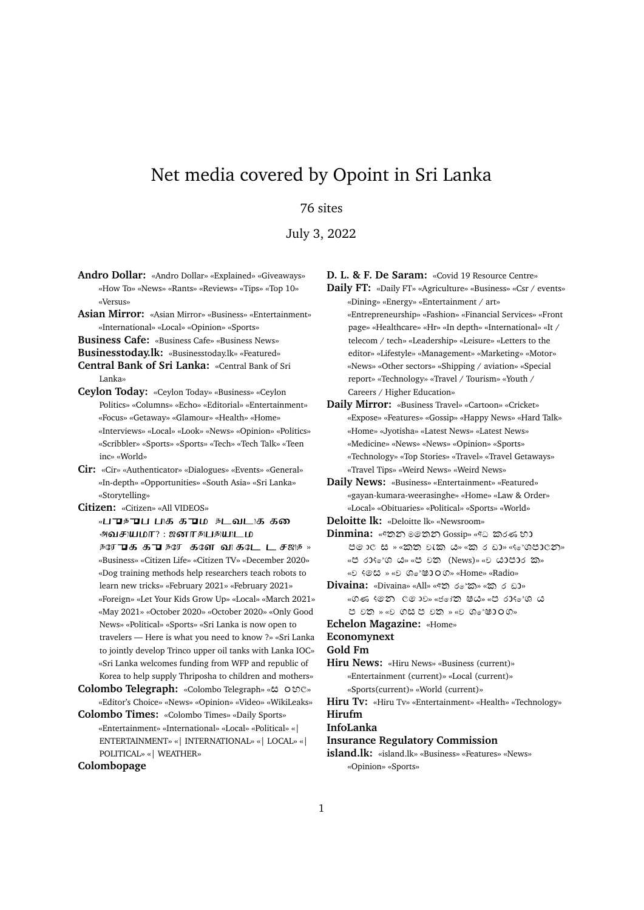# Net media covered by Opoint in Sri Lanka

## 76 sites

July 3, 2022

- **Andro Dollar:** «Andro Dollar» «Explained» «Giveaways» «How To» «News» «Rants» «Reviews» «Tips» «Top 10» «Versus»
- **Asian Mirror:** «Asian Mirror» «Business» «Entertainment» «International» «Local» «Opinion» «Sports»
- **Business Cafe:** «Business Cafe» «Business News»
- **Businesstoday.lk:** «Businesstoday.lk» «Featured»
- **Central Bank of Sri Lanka:** «Central Bank of Sri Lanka»
- **Ceylon Today:** «Ceylon Today» «Business» «Ceylon Politics» «Columns» «Echo» «Editorial» «Entertainment» «Focus» «Getaway» «Glamour» «Health» «Home» «Interviews» «Local» «Look» «News» «Opinion» «Politics» «Scribbler» «Sports» «Sports» «Tech» «Tech Talk» «Teen inc» «World»
- **Cir:** «Cir» «Authenticator» «Dialogues» «Events» «General» «In-depth» «Opportunities» «South Asia» «Sri Lanka» «Storytelling»
- **Citizen:** «Citizen» «All VIDEOS»
	- «பு சு பி பிக்கு பி நடவடிக்கல் அவசுயமா? : ஜனாதபுதயுடம *ந***ரோக கா நரே களே வாகடே டச**ஜத » «Business» «Citizen Life» «Citizen TV» «December 2020» «Dog training methods help researchers teach robots to learn new tricks» «February 2021» «February 2021» «Foreign» «Let Your Kids Grow Up» «Local» «March 2021» «May 2021» «October 2020» «October 2020» «Only Good News» «Political» «Sports» «Sri Lanka is now open to travelers — Here is what you need to know ?» «Sri Lanka to jointly develop Trinco upper oil tanks with Lanka IOC» «Sri Lanka welcomes funding from WFP and republic of Korea to help supply Thriposha to children and mothers»
- Colombo Telegraph: «Colombo Telegraph» «ස oහල» «Editor's Choice» «News» «Opinion» «Video» «WikiLeaks»
- **Colombo Times:** «Colombo Times» «Daily Sports» «Entertainment» «International» «Local» «Political» «| ENTERTAINMENT» «| INTERNATIONAL» «| LOCAL» «| POLITICAL» «| WEATHER»

### **Colombopage**

**D. L. & F. De Saram:** «Covid 19 Resource Centre»

- **Daily FT:** «Daily FT» «Agriculture» «Business» «Csr / events» «Dining» «Energy» «Entertainment / art» «Entrepreneurship» «Fashion» «Financial Services» «Front page» «Healthcare» «Hr» «In depth» «International» «It / telecom / tech» «Leadership» «Leisure» «Letters to the editor» «Lifestyle» «Management» «Marketing» «Motor» «News» «Other sectors» «Shipping / aviation» «Special report» «Technology» «Travel / Tourism» «Youth / Careers / Higher Education»
- **Daily Mirror:** «Business Travel» «Cartoon» «Cricket» «Expose» «Features» «Gossip» «Happy News» «Hard Talk» «Home» «Jyotisha» «Latest News» «Latest News» «Medicine» «News» «News» «Opinion» «Sports» «Technology» «Top Stories» «Travel» «Travel Getaways» «Travel Tips» «Weird News» «Weird News»
- **Daily News:** «Business» «Entertainment» «Featured» «gayan-kumara-weerasinghe» «Home» «Law & Order» «Local» «Obituaries» «Political» «Sports» «World»
- **Deloitte lk:** «Deloitte lk» «Newsroom»
- $Dimmin:$  «අතන මෙතන Gossip» «අධ කරණ හා 50 0 to » «කත වැක ය» «ක 6 ඩා» «@ ශපාලන» « ಲಿ 60% ( C » « ಲಿ ಲಿ (News) » « ಲಿ ( ಬಿ ) ಲಿ ಎ ) » « » « » «Home» «Radio»
- **Divaina:** «Divaina» «All» «අත ර*ෙක*» «ක ර ඩා» .<br>«ගණ දමන ලමාව» «ජෝතු ෂය» «ප රාද ශ ය » « » « »
- **Echelon Magazine:** «Home»

**Economynext**

#### **Gold Fm**

**Hiru News:** «Hiru News» «Business (current)» «Entertainment (current)» «Local (current)» «Sports(current)» «World (current)»

**Hiru Tv:** «Hiru Tv» «Entertainment» «Health» «Technology»

**Hirufm**

# **InfoLanka**

- **Insurance Regulatory Commission**
- **island.lk:** «island.lk» «Business» «Features» «News» «Opinion» «Sports»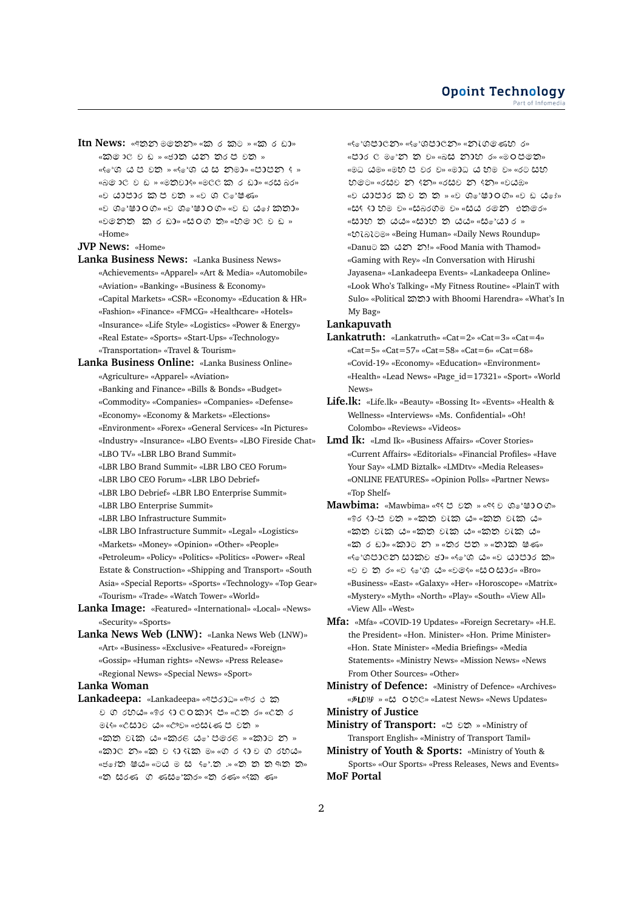**Itn News:** «අතන මහෙන» «ක ර කට » «ක ර ඩා» «කමාලව ඩ » «ජාත යන තරප වත » «<...» من الله عنه « و الله » « و الله » « و الله » و الله » و الله » و الله » و الله » و الله عنه و الله من ا «බම ාලි ව ඩ » «මතිවාදි» «මලල ක ර ඩා» «රසි බර» «೨ ಚುಲು ಬದಲ ಲಂ » «೨ ೧ ೧ ಆ ಶ್ಯ « » « » « » « లెలాను దుర ము « జందు ను « బిలు లేబ » «Home»

**JVP News:** «Home»

**Lanka Business News:** «Lanka Business News»

- «Achievements» «Apparel» «Art & Media» «Automobile» «Aviation» «Banking» «Business & Economy» «Capital Markets» «CSR» «Economy» «Education & HR» «Fashion» «Finance» «FMCG» «Healthcare» «Hotels» «Insurance» «Life Style» «Logistics» «Power & Energy» «Real Estate» «Sports» «Start-Ups» «Technology» «Transportation» «Travel & Tourism»
- **Lanka Business Online:** «Lanka Business Online»

«Agriculture» «Apparel» «Aviation»

- «Banking and Finance» «Bills & Bonds» «Budget»
- «Commodity» «Companies» «Companies» «Defense»
- «Economy» «Economy & Markets» «Elections»
- «Environment» «Forex» «General Services» «In Pictures»
- «Industry» «Insurance» «LBO Events» «LBO Fireside Chat»
- «LBO TV» «LBR LBO Brand Summit»
- «LBR LBO Brand Summit» «LBR LBO CEO Forum»
- «LBR LBO CEO Forum» «LBR LBO Debrief»
- «LBR LBO Debrief» «LBR LBO Enterprise Summit»
- «LBR LBO Enterprise Summit»
- «LBR LBO Infrastructure Summit»
- «LBR LBO Infrastructure Summit» «Legal» «Logistics» «Markets» «Money» «Opinion» «Other» «People» «Petroleum» «Policy» «Politics» «Politics» «Power» «Real Estate & Construction» «Shipping and Transport» «South Asia» «Special Reports» «Sports» «Technology» «Top Gear» «Tourism» «Trade» «Watch Tower» «World»
- **Lanka Image:** «Featured» «International» «Local» «News» «Security» «Sports»
- **Lanka News Web (LNW):** «Lanka News Web (LNW)» «Art» «Business» «Exclusive» «Featured» «Foreign» «Gossip» «Human rights» «News» «Press Release» «Regional News» «Special News» «Sport»

### **Lanka Woman**

 $Lankadeepa:$  «Lankadeepa» «අපරාධ» «ආර එක 0 0 600» « 86 0 00000 0» « 00 6» « 00 6 » « » « » « » «කත වැක ය» «කරළ ය<sub>ේ</sub> පලරළ » «කාට න » «කාල න» «ක ව භ ඇක ම» «ග ර භ ව ග රහය» «ජෝතු ෂය» «ටය ම ස ද්ේ.තු .» «තු තු තු අතු තු» «'ది) සිරණ ගි ණසි "කිර» «'ది) රණ» «දිකි) ණ»

«ೇಿ 'ශපාලන» «ೇಿ 'ශපාලන» «නැගමණහ ර» «පාර ල ම න ක ව» «බස නාහ ර» «ම 0 පමත» «මධ යම» «මහ ප වර ව» «ම0ධ ය හම ව» «රට සහ » « » « » « » «ව යාපාර කව ත ත » «ව ශ**්ෂා** 00» «ව ඩ ය<sub>ෝ»</sub> «සෑ ෑ) හම ම» «සබරගම ම» «සය රමන එතමර» « ಜುಲ ಠ ದದು» « ಜುಲ ಠ ದದು» « ಜಿಂ'ದು 6 » « » «Being Human» «Daily News Roundup» «Danu ແລ້ວ ເມີນ (» «Food Mania with Thamod» «Gaming with Rey» «In Conversation with Hirushi Jayasena» «Lankadeepa Events» «Lankadeepa Online» «Look Who's Talking» «My Fitness Routine» «PlainT with Sulo» «Political with Bhoomi Harendra» «What's In My Bag»

### **Lankapuvath**

- **Lankatruth:** «Lankatruth» «Cat=2» «Cat=3» «Cat=4» «Cat=5» «Cat=57» «Cat=58» «Cat=6» «Cat=68» «Covid-19» «Economy» «Education» «Environment» «Health» «Lead News» «Page\_id=17321» «Sport» «World News»
- **Life.lk:** «Life.lk» «Beauty» «Bossing It» «Events» «Health & Wellness» «Interviews» «Ms. Confidential» «Oh! Colombo» «Reviews» «Videos»
- **Lmd Ik:** «Lmd Ik» «Business Affairs» «Cover Stories» «Current Affairs» «Editorials» «Financial Profiles» «Have Your Say» «LMD Biztalk» «LMDtv» «Media Releases» «ONLINE FEATURES» «Opinion Polls» «Partner News» «Top Shelf»
- **Mawbima:** «Mawbima» «९९ 85 » «९९ 8 % 890 %» «ඉර දා-ප වත » «කත වැක ය» «කත වැක ය» «කත වැක ය» «කත වැක ය» «කත වැක ය» «ක ර ඩා» «කාට න » «තර පත » «තාක ෂණ» «ೇೂ ಅಂತಾಯ ಅಂತಾ ಸಾರ್ವಾಲ್ ಅಂತಾ ಅಂತಾ ಅಂತಾ ಅಂತಾ ಸಿ « D 0 0» « D (e'G d » « D 0 % « C 0 0 0 % » « Bro » «Business» «East» «Galaxy» «Her» «Horoscope» «Matrix» «Mystery» «Myth» «North» «Play» «South» «View All» «View All» «West»
- **Mfa:** «Mfa» «COVID-19 Updates» «Foreign Secretary» «H.E. the President» «Hon. Minister» «Hon. Prime Minister» «Hon. State Minister» «Media Briefings» «Media Statements» «Ministry News» «Mission News» «News From Other Sources» «Other»
- **Ministry of Defence:** «Ministry of Defence» «Archives» « *B***LD**)  $\psi$  » « ε Ο ε Ο ε Ο ε ω - «Latest News » «News Updates» **Ministry of Justice**
- **Ministry of Transport:** «2015 » «Ministry of Transport English» «Ministry of Transport Tamil»
- **Ministry of Youth & Sports:** «Ministry of Youth & Sports» «Our Sports» «Press Releases, News and Events» **MoF Portal**